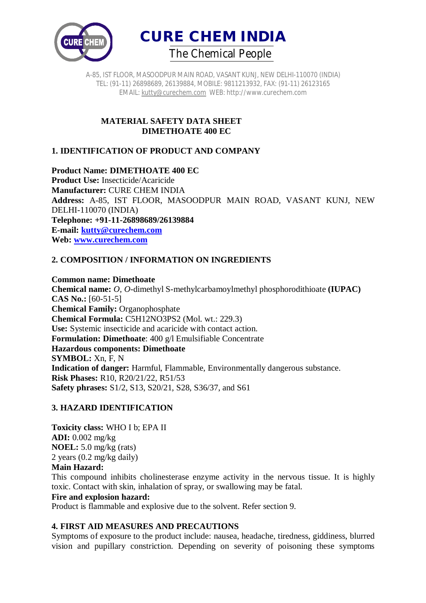



A-85, IST FLOOR, MASOODPUR MAIN ROAD, VASANT KUNJ, NEW DELHI-110070 (INDIA) TEL: (91-11) 26898689, 26139884, MOBILE: 9811213932, FAX: (91-11) 26123165 EMAIL: kutty@curechem.com WEB: http://www.curechem.com

## **MATERIAL SAFETY DATA SHEET DIMETHOATE 400 EC**

# **1. IDENTIFICATION OF PRODUCT AND COMPANY**

## **Product Name: DIMETHOATE 400 EC**

**Product Use:** Insecticide/Acaricide **Manufacturer:** CURE CHEM INDIA **Address:** A-85, IST FLOOR, MASOODPUR MAIN ROAD, VASANT KUNJ, NEW DELHI-110070 (INDIA) **Telephone: +91-11-26898689/26139884 E-mail: kutty@curechem.com Web: www.curechem.com**

# **2. COMPOSITION / INFORMATION ON INGREDIENTS**

## **Common name: Dimethoate**

**Chemical name:** *O, O*-dimethyl S-methylcarbamoylmethyl phosphorodithioate **(IUPAC) CAS No.:** [60-51-5] **Chemical Family:** Organophosphate **Chemical Formula:** C5H12NO3PS2 (Mol. wt.: 229.3) **Use:** Systemic insecticide and acaricide with contact action. **Formulation: Dimethoate**: 400 g/l Emulsifiable Concentrate **Hazardous components: Dimethoate SYMBOL:** Xn, F, N **Indication of danger:** Harmful, Flammable, Environmentally dangerous substance. **Risk Phases:** R10, R20/21/22, R51/53 **Safety phrases:** S1/2, S13, S20/21, S28, S36/37, and S61

## **3. HAZARD IDENTIFICATION**

**Toxicity class:** WHO I b; EPA II **ADI:** 0.002 mg/kg **NOEL:** 5.0 mg/kg (rats) 2 years (0.2 mg/kg daily) **Main Hazard:**

This compound inhibits cholinesterase enzyme activity in the nervous tissue. It is highly toxic. Contact with skin, inhalation of spray, or swallowing may be fatal.

### **Fire and explosion hazard:**

Product is flammable and explosive due to the solvent. Refer section 9.

## **4. FIRST AID MEASURES AND PRECAUTIONS**

Symptoms of exposure to the product include: nausea, headache, tiredness, giddiness, blurred vision and pupillary constriction. Depending on severity of poisoning these symptoms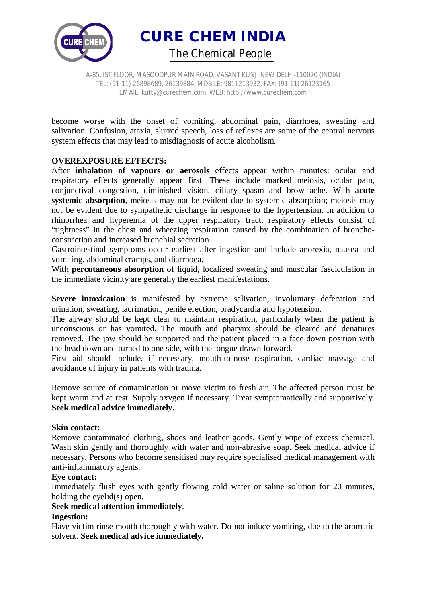

A-85, IST FLOOR, MASOODPUR MAIN ROAD, VASANT KUNJ, NEW DELHI-110070 (INDIA) TEL: (91-11) 26898689, 26139884, MOBILE: 9811213932, FAX: (91-11) 26123165 EMAIL: kutty@curechem.com WEB: http://www.curechem.com

become worse with the onset of vomiting, abdominal pain, diarrhoea, sweating and salivation. Confusion, ataxia, slurred speech, loss of reflexes are some of the central nervous system effects that may lead to misdiagnosis of acute alcoholism.

## **OVEREXPOSURE EFFECTS:**

After **inhalation of vapours or aerosols** effects appear within minutes: ocular and respiratory effects generally appear first. These include marked meiosis, ocular pain, conjunctival congestion, diminished vision, ciliary spasm and brow ache. With **acute systemic absorption**, meiosis may not be evident due to systemic absorption; meiosis may not be evident due to sympathetic discharge in response to the hypertension. In addition to rhinorrhea and hyperemia of the upper respiratory tract, respiratory effects consist of "tightness" in the chest and wheezing respiration caused by the combination of bronchoconstriction and increased bronchial secretion.

Gastrointestinal symptoms occur earliest after ingestion and include anorexia, nausea and vomiting, abdominal cramps, and diarrhoea.

With **percutaneous absorption** of liquid, localized sweating and muscular fasciculation in the immediate vicinity are generally the earliest manifestations.

**Severe intoxication** is manifested by extreme salivation, involuntary defecation and urination, sweating, lacrimation, penile erection, bradycardia and hypotension.

The airway should be kept clear to maintain respiration, particularly when the patient is unconscious or has vomited. The mouth and pharynx should be cleared and denatures removed. The jaw should be supported and the patient placed in a face down position with the head down and turned to one side, with the tongue drawn forward.

First aid should include, if necessary, mouth-to-nose respiration, cardiac massage and avoidance of injury in patients with trauma.

Remove source of contamination or move victim to fresh air. The affected person must be kept warm and at rest. Supply oxygen if necessary. Treat symptomatically and supportively. **Seek medical advice immediately.**

#### **Skin contact:**

Remove contaminated clothing, shoes and leather goods. Gently wipe of excess chemical. Wash skin gently and thoroughly with water and non-abrasive soap. Seek medical advice if necessary. Persons who become sensitised may require specialised medical management with anti-inflammatory agents.

#### **Eye contact:**

Immediately flush eyes with gently flowing cold water or saline solution for 20 minutes, holding the eyelid(s) open.

### **Seek medical attention immediately**.

#### **Ingestion:**

Have victim rinse mouth thoroughly with water. Do not induce vomiting, due to the aromatic solvent. **Seek medical advice immediately.**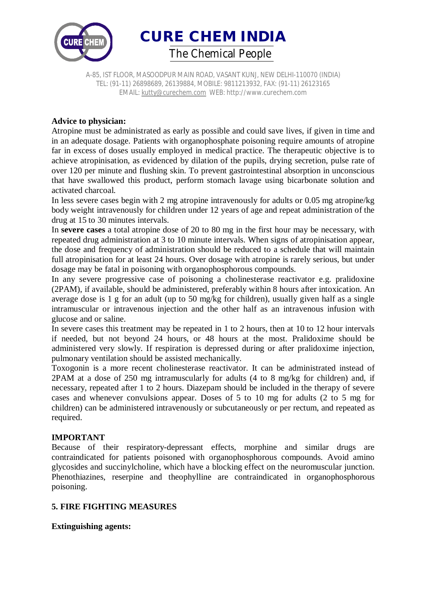

A-85, IST FLOOR, MASOODPUR MAIN ROAD, VASANT KUNJ, NEW DELHI-110070 (INDIA) TEL: (91-11) 26898689, 26139884, MOBILE: 9811213932, FAX: (91-11) 26123165 EMAIL: kutty@curechem.com WEB: http://www.curechem.com

## **Advice to physician:**

Atropine must be administrated as early as possible and could save lives, if given in time and in an adequate dosage. Patients with organophosphate poisoning require amounts of atropine far in excess of doses usually employed in medical practice. The therapeutic objective is to achieve atropinisation, as evidenced by dilation of the pupils, drying secretion, pulse rate of over 120 per minute and flushing skin. To prevent gastrointestinal absorption in unconscious that have swallowed this product, perform stomach lavage using bicarbonate solution and activated charcoal.

In less severe cases begin with 2 mg atropine intravenously for adults or 0.05 mg atropine/kg body weight intravenously for children under 12 years of age and repeat administration of the drug at 15 to 30 minutes intervals.

In **severe cases** a total atropine dose of 20 to 80 mg in the first hour may be necessary, with repeated drug administration at 3 to 10 minute intervals. When signs of atropinisation appear, the dose and frequency of administration should be reduced to a schedule that will maintain full atropinisation for at least 24 hours. Over dosage with atropine is rarely serious, but under dosage may be fatal in poisoning with organophosphorous compounds.

In any severe progressive case of poisoning a cholinesterase reactivator e.g. pralidoxine (2PAM), if available, should be administered, preferably within 8 hours after intoxication. An average dose is 1 g for an adult (up to 50 mg/kg for children), usually given half as a single intramuscular or intravenous injection and the other half as an intravenous infusion with glucose and or saline.

In severe cases this treatment may be repeated in 1 to 2 hours, then at 10 to 12 hour intervals if needed, but not beyond 24 hours, or 48 hours at the most. Pralidoxime should be administered very slowly. If respiration is depressed during or after pralidoxime injection, pulmonary ventilation should be assisted mechanically.

Toxogonin is a more recent cholinesterase reactivator. It can be administrated instead of 2PAM at a dose of 250 mg intramuscularly for adults (4 to 8 mg/kg for children) and, if necessary, repeated after 1 to 2 hours. Diazepam should be included in the therapy of severe cases and whenever convulsions appear. Doses of 5 to 10 mg for adults (2 to 5 mg for children) can be administered intravenously or subcutaneously or per rectum, and repeated as required.

## **IMPORTANT**

Because of their respiratory-depressant effects, morphine and similar drugs are contraindicated for patients poisoned with organophosphorous compounds. Avoid amino glycosides and succinylcholine, which have a blocking effect on the neuromuscular junction. Phenothiazines, reserpine and theophylline are contraindicated in organophosphorous poisoning.

## **5. FIRE FIGHTING MEASURES**

**Extinguishing agents:**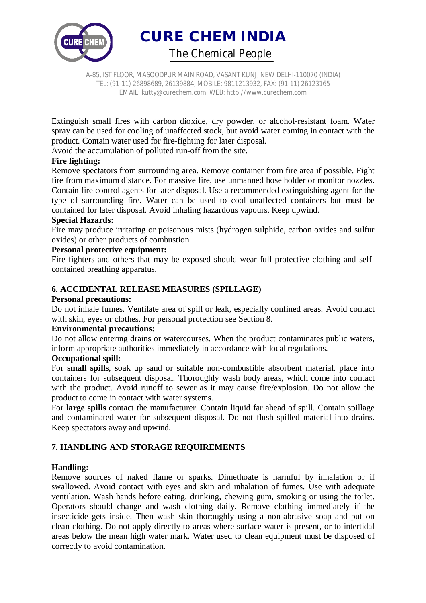

A-85, IST FLOOR, MASOODPUR MAIN ROAD, VASANT KUNJ, NEW DELHI-110070 (INDIA) TEL: (91-11) 26898689, 26139884, MOBILE: 9811213932, FAX: (91-11) 26123165 EMAIL: kutty@curechem.com WEB: http://www.curechem.com

Extinguish small fires with carbon dioxide, dry powder, or alcohol-resistant foam. Water spray can be used for cooling of unaffected stock, but avoid water coming in contact with the product. Contain water used for fire-fighting for later disposal.

Avoid the accumulation of polluted run-off from the site.

## **Fire fighting:**

Remove spectators from surrounding area. Remove container from fire area if possible. Fight fire from maximum distance. For massive fire, use unmanned hose holder or monitor nozzles. Contain fire control agents for later disposal. Use a recommended extinguishing agent for the type of surrounding fire. Water can be used to cool unaffected containers but must be contained for later disposal. Avoid inhaling hazardous vapours. Keep upwind.

## **Special Hazards:**

Fire may produce irritating or poisonous mists (hydrogen sulphide, carbon oxides and sulfur oxides) or other products of combustion.

### **Personal protective equipment:**

Fire-fighters and others that may be exposed should wear full protective clothing and selfcontained breathing apparatus.

## **6. ACCIDENTAL RELEASE MEASURES (SPILLAGE)**

### **Personal precautions:**

Do not inhale fumes. Ventilate area of spill or leak, especially confined areas. Avoid contact with skin, eyes or clothes. For personal protection see Section 8.

### **Environmental precautions:**

Do not allow entering drains or watercourses. When the product contaminates public waters, inform appropriate authorities immediately in accordance with local regulations.

### **Occupational spill:**

For **small spills**, soak up sand or suitable non-combustible absorbent material, place into containers for subsequent disposal. Thoroughly wash body areas, which come into contact with the product. Avoid runoff to sewer as it may cause fire/explosion. Do not allow the product to come in contact with water systems.

For **large spills** contact the manufacturer. Contain liquid far ahead of spill. Contain spillage and contaminated water for subsequent disposal. Do not flush spilled material into drains. Keep spectators away and upwind.

## **7. HANDLING AND STORAGE REQUIREMENTS**

### **Handling:**

Remove sources of naked flame or sparks. Dimethoate is harmful by inhalation or if swallowed. Avoid contact with eyes and skin and inhalation of fumes. Use with adequate ventilation. Wash hands before eating, drinking, chewing gum, smoking or using the toilet. Operators should change and wash clothing daily. Remove clothing immediately if the insecticide gets inside. Then wash skin thoroughly using a non-abrasive soap and put on clean clothing. Do not apply directly to areas where surface water is present, or to intertidal areas below the mean high water mark. Water used to clean equipment must be disposed of correctly to avoid contamination.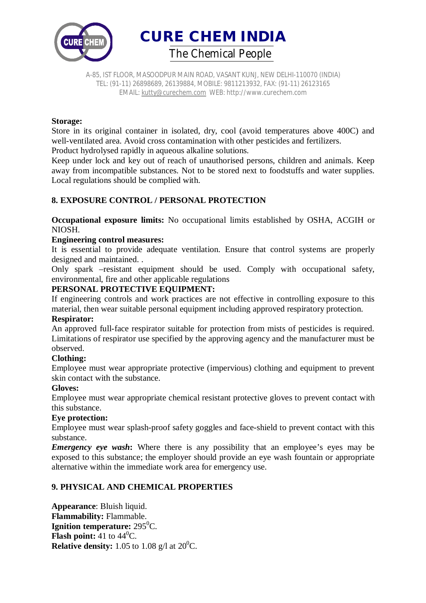

A-85, IST FLOOR, MASOODPUR MAIN ROAD, VASANT KUNJ, NEW DELHI-110070 (INDIA) TEL: (91-11) 26898689, 26139884, MOBILE: 9811213932, FAX: (91-11) 26123165 EMAIL: kutty@curechem.com WEB: http://www.curechem.com

### **Storage:**

Store in its original container in isolated, dry, cool (avoid temperatures above 400C) and well-ventilated area. Avoid cross contamination with other pesticides and fertilizers. Product hydrolysed rapidly in aqueous alkaline solutions.

Keep under lock and key out of reach of unauthorised persons, children and animals. Keep away from incompatible substances. Not to be stored next to foodstuffs and water supplies. Local regulations should be complied with.

## **8. EXPOSURE CONTROL / PERSONAL PROTECTION**

**Occupational exposure limits:** No occupational limits established by OSHA, ACGIH or NIOSH.

## **Engineering control measures:**

It is essential to provide adequate ventilation. Ensure that control systems are properly designed and maintained. .

Only spark –resistant equipment should be used. Comply with occupational safety, environmental, fire and other applicable regulations

## **PERSONAL PROTECTIVE EQUIPMENT:**

If engineering controls and work practices are not effective in controlling exposure to this material, then wear suitable personal equipment including approved respiratory protection.

### **Respirator:**

An approved full-face respirator suitable for protection from mists of pesticides is required. Limitations of respirator use specified by the approving agency and the manufacturer must be observed.

### **Clothing:**

Employee must wear appropriate protective (impervious) clothing and equipment to prevent skin contact with the substance.

### **Gloves:**

Employee must wear appropriate chemical resistant protective gloves to prevent contact with this substance.

### **Eye protection:**

Employee must wear splash-proof safety goggles and face-shield to prevent contact with this substance.

*Emergency eye wash*: Where there is any possibility that an employee's eyes may be exposed to this substance; the employer should provide an eye wash fountain or appropriate alternative within the immediate work area for emergency use.

## **9. PHYSICAL AND CHEMICAL PROPERTIES**

**Appearance**: Bluish liquid. **Flammability:** Flammable. **Ignition temperature:** 295<sup>0</sup>C. **Flash point:** 41 to  $44^{\circ}$ C. **Relative density:** 1.05 to 1.08 g/l at  $20^0C$ .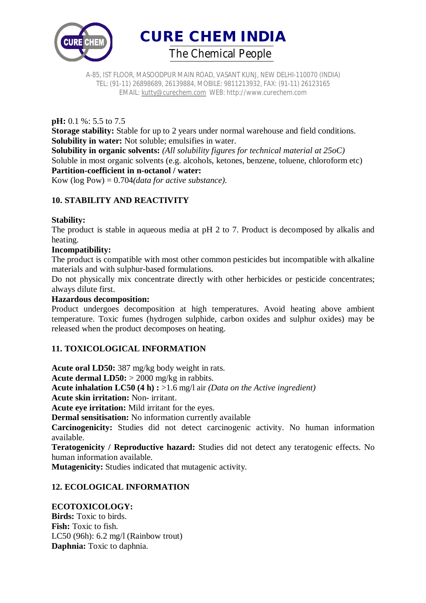

A-85, IST FLOOR, MASOODPUR MAIN ROAD, VASANT KUNJ, NEW DELHI-110070 (INDIA) TEL: (91-11) 26898689, 26139884, MOBILE: 9811213932, FAX: (91-11) 26123165 EMAIL: kutty@curechem.com WEB: http://www.curechem.com

**pH:** 0.1 %: 5.5 to 7.5

**Storage stability:** Stable for up to 2 years under normal warehouse and field conditions. **Solubility in water:** Not soluble; emulsifies in water.

**Solubility in organic solvents:** *(All solubility figures for technical material at 25oC)* Soluble in most organic solvents (e.g. alcohols, ketones, benzene, toluene, chloroform etc) **Partition-coefficient in n-octanol / water:**

Kow (log Pow) = 0.704*(data for active substance).*

# **10. STABILITY AND REACTIVITY**

### **Stability:**

The product is stable in aqueous media at pH 2 to 7. Product is decomposed by alkalis and heating.

## **Incompatibility:**

The product is compatible with most other common pesticides but incompatible with alkaline materials and with sulphur-based formulations.

Do not physically mix concentrate directly with other herbicides or pesticide concentrates; always dilute first.

### **Hazardous decomposition:**

Product undergoes decomposition at high temperatures. Avoid heating above ambient temperature. Toxic fumes (hydrogen sulphide, carbon oxides and sulphur oxides) may be released when the product decomposes on heating.

### **11. TOXICOLOGICAL INFORMATION**

**Acute oral LD50:** 387 mg/kg body weight in rats.

**Acute dermal LD50:** > 2000 mg/kg in rabbits.

**Acute inhalation LC50 (4 h) :** >1.6 mg/l air *(Data on the Active ingredient)*

**Acute skin irritation:** Non- irritant.

**Acute eye irritation:** Mild irritant for the eyes.

**Dermal sensitisation:** No information currently available

**Carcinogenicity:** Studies did not detect carcinogenic activity. No human information available.

**Teratogenicity / Reproductive hazard:** Studies did not detect any teratogenic effects. No human information available.

**Mutagenicity:** Studies indicated that mutagenic activity.

## **12. ECOLOGICAL INFORMATION**

### **ECOTOXICOLOGY:**

**Birds:** Toxic to birds. **Fish:** Toxic to fish. LC50 (96h): 6.2 mg/l (Rainbow trout) **Daphnia:** Toxic to daphnia.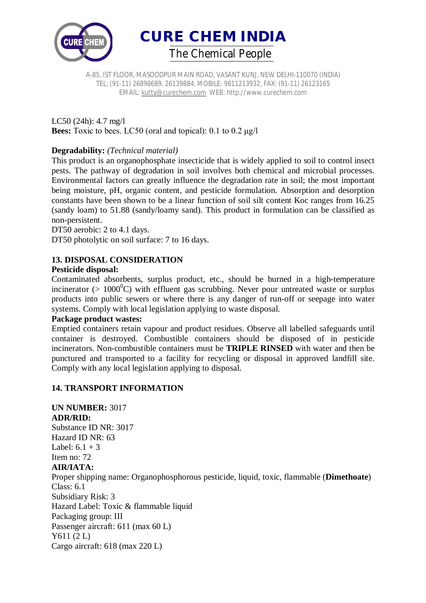

A-85, IST FLOOR, MASOODPUR MAIN ROAD, VASANT KUNJ, NEW DELHI-110070 (INDIA) TEL: (91-11) 26898689, 26139884, MOBILE: 9811213932, FAX: (91-11) 26123165 EMAIL: kutty@curechem.com WEB: http://www.curechem.com

LC50 (24h): 4.7 mg/l **Bees:** Toxic to bees. LC50 (oral and topical): 0.1 to 0.2 μg/l

## **Degradability:** *(Technical material)*

This product is an organophosphate insecticide that is widely applied to soil to control insect pests. The pathway of degradation in soil involves both chemical and microbial processes. Environmental factors can greatly influence the degradation rate in soil; the most important being moisture, pH, organic content, and pesticide formulation. Absorption and desorption constants have been shown to be a linear function of soil silt content Koc ranges from 16.25 (sandy loam) to 51.88 (sandy/loamy sand). This product in formulation can be classified as non-persistent.

DT50 aerobic: 2 to 4.1 days.

DT50 photolytic on soil surface: 7 to 16 days.

# **13. DISPOSAL CONSIDERATION**

## **Pesticide disposal:**

Contaminated absorbents, surplus product, etc., should be burned in a high-temperature incinerator ( $> 1000^{\circ}$ C) with effluent gas scrubbing. Never pour untreated waste or surplus products into public sewers or where there is any danger of run-off or seepage into water systems. Comply with local legislation applying to waste disposal.

### **Package product wastes:**

Emptied containers retain vapour and product residues. Observe all labelled safeguards until container is destroyed. Combustible containers should be disposed of in pesticide incinerators. Non-combustible containers must be **TRIPLE RINSED** with water and then be punctured and transported to a facility for recycling or disposal in approved landfill site. Comply with any local legislation applying to disposal.

## **14. TRANSPORT INFORMATION**

**UN NUMBER:** 3017 **ADR/RID:** Substance ID NR: 3017 Hazard ID NR: 63 Label:  $6.1 + 3$ Item no: 72 **AIR/IATA:** Proper shipping name: Organophosphorous pesticide, liquid, toxic, flammable (**Dimethoate**) Class: 6.1 Subsidiary Risk: 3 Hazard Label: Toxic & flammable liquid Packaging group: III Passenger aircraft: 611 (max 60 L) Y611 (2 L) Cargo aircraft: 618 (max 220 L)